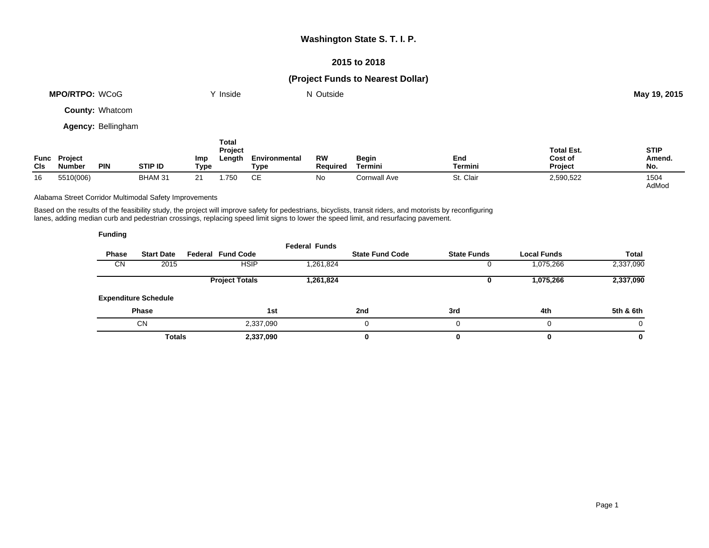#### **2015 to 2018**

# **(Project Funds to Nearest Dollar)**

| <b>MPO/RTPO: WCoG</b>  | Inside | N Outside | May 19, 2015 |
|------------------------|--------|-----------|--------------|
| <b>County: Whatcom</b> |        |           |              |
| Agency: Bellingham     |        |           |              |
|                        | Total  |           |              |

| Func<br>CIs | <b>Project</b><br><b>Number</b> | <b>PIN</b> | STIP ID | Imp<br>Type | <b>Project</b><br>Length | Environmental<br>Type | RW<br><b>Required</b> | <b>Begin</b><br>Termini | End<br>Termini | <b>Total Est.</b><br>Cost of<br><b>Project</b> | <b>STIP</b><br>Amend.<br>No. |
|-------------|---------------------------------|------------|---------|-------------|--------------------------|-----------------------|-----------------------|-------------------------|----------------|------------------------------------------------|------------------------------|
| 16          | 5510(006)                       |            | BHAM 31 |             | .750                     | ◡∟                    | No.                   | Cornwall Ave            | . Clair<br>St. | 2,590,522                                      | 1504<br>AdMod                |

Alabama Street Corridor Multimodal Safety Improvements

Based on the results of the feasibility study, the project will improve safety for pedestrians, bicyclists, transit riders, and motorists by reconfiguring lanes, adding median curb and pedestrian crossings, replacing speed limit signs to lower the speed limit, and resurfacing pavement.

| <b>Funding</b> |                             |                          |                      |                        |                    |                    |           |
|----------------|-----------------------------|--------------------------|----------------------|------------------------|--------------------|--------------------|-----------|
| <b>Phase</b>   | <b>Start Date</b>           | <b>Federal Fund Code</b> | <b>Federal Funds</b> | <b>State Fund Code</b> | <b>State Funds</b> | <b>Local Funds</b> | Total     |
| <b>CN</b>      | 2015                        | <b>HSIP</b>              | 1,261,824            |                        |                    | 1,075,266          | 2,337,090 |
|                |                             | <b>Project Totals</b>    | 1,261,824            |                        | 0                  | 1,075,266          | 2,337,090 |
|                | <b>Expenditure Schedule</b> |                          |                      |                        |                    |                    |           |
|                | <b>Phase</b>                |                          | 1st                  | 2nd                    | 3rd                | 4th                | 5th & 6th |
|                | <b>CN</b>                   | 2,337,090                |                      |                        | $\Omega$           | 0                  | $\Omega$  |
|                | <b>Totals</b>               | 2,337,090                |                      |                        | 0                  | 0                  | 0         |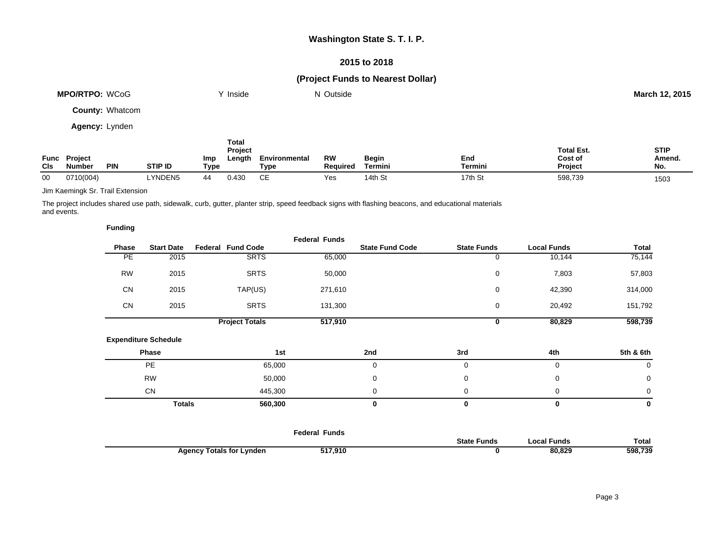### **2015 to 2018**

# **(Project Funds to Nearest Dollar)**

| <b>MPO/RTPO: WCoG</b>  | ∨ Inside | N Outside | March 12, 2015 |
|------------------------|----------|-----------|----------------|
| <b>County: Whatcom</b> |          |           |                |
| <b>Agency: Lynden</b>  |          |           |                |
|                        | Total    |           |                |

|             |                                 |            |                |             | Project           |                       |                |                  |                     | Total Est.                | <b>STIP</b>   |
|-------------|---------------------------------|------------|----------------|-------------|-------------------|-----------------------|----------------|------------------|---------------------|---------------------------|---------------|
| Func<br>Cls | <b>Project</b><br><b>Number</b> | <b>PIN</b> | <b>STIP ID</b> | Imp<br>Tvpe | ∟ength            | Environmental<br>Type | RW<br>Reauireo | Begin<br>Termini | End<br>Termini      | Cost of<br><b>Project</b> | Amend.<br>No. |
| 00          | 0710(004)                       |            | <b>LYNDEN5</b> |             | 0.43 <sup>c</sup> | ~-                    | Yes            | . ت 14th         | <sup>1</sup> 7th St | 598,739                   | 1503          |

Jim Kaemingk Sr. Trail Extension

The project includes shared use path, sidewalk, curb, gutter, planter strip, speed feedback signs with flashing beacons, and educational materials and events.

|                             |                           | <b>Federal Funds</b>                                     |                                                         |                        |                    |                              |
|-----------------------------|---------------------------|----------------------------------------------------------|---------------------------------------------------------|------------------------|--------------------|------------------------------|
|                             |                           |                                                          |                                                         |                        |                    | Total                        |
|                             |                           |                                                          |                                                         | 0                      |                    | 75,144                       |
| 2015                        | <b>SRTS</b>               | 50,000                                                   |                                                         | 0                      | 7,803              | 57,803                       |
| 2015                        | TAP(US)                   | 271,610                                                  |                                                         | 0                      | 42,390             | 314,000                      |
| 2015                        | <b>SRTS</b>               | 131,300                                                  |                                                         | 0                      | 20,492             | 151,792                      |
|                             | <b>Project Totals</b>     | 517,910                                                  |                                                         | 0                      | 80,829             | 598,739                      |
| <b>Expenditure Schedule</b> |                           |                                                          |                                                         |                        |                    |                              |
| Phase                       |                           |                                                          | 2nd                                                     | 3rd                    | 4th                | 5th & 6th                    |
| <b>PE</b>                   |                           |                                                          | 0                                                       | 0                      | $\mathbf 0$        | 0                            |
| <b>RW</b>                   |                           |                                                          | 0                                                       | 0                      | 0                  | 0                            |
| <b>CN</b>                   |                           |                                                          | 0                                                       | 0                      | 0                  | 0                            |
|                             |                           |                                                          | 0                                                       | 0                      | 0                  | 0                            |
|                             | <b>Start Date</b><br>2015 | <b>Federal Fund Code</b><br><b>SRTS</b><br><b>Totals</b> | 65,000<br>1st<br>65,000<br>50,000<br>445,300<br>560,300 | <b>State Fund Code</b> | <b>State Funds</b> | <b>Local Funds</b><br>10,144 |

|                                 | <b>Federal Funds</b> |                    |             |              |
|---------------------------------|----------------------|--------------------|-------------|--------------|
|                                 |                      | <b>State Funds</b> | Local Funds | <b>Total</b> |
| <b>Agency Totals for Lynden</b> | 517,910              |                    | 80,829      | 598,739      |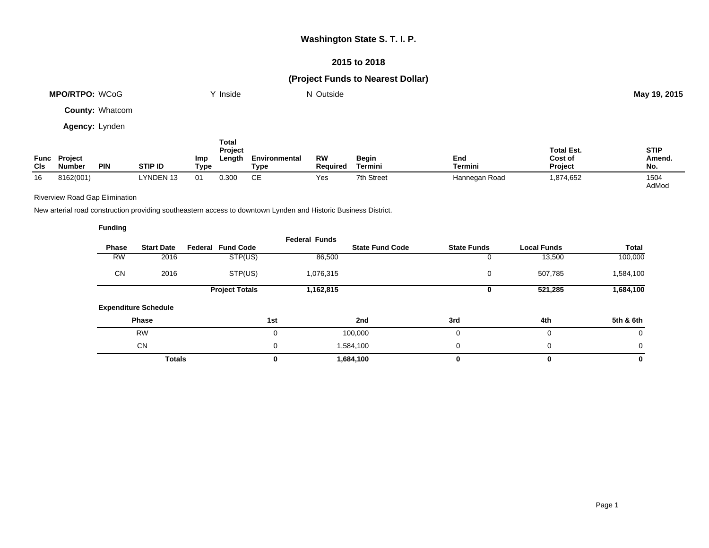#### **2015 to 2018**

# **(Project Funds to Nearest Dollar)**

| <b>MPO/RTPO: WCoG</b>  | Y Inside | N Outside | May 19, 2015 |
|------------------------|----------|-----------|--------------|
| <b>County: Whatcom</b> |          |           |              |
| Agency: Lynden         |          |           |              |

| Func<br><b>CIs</b> | <b>Project</b><br><b>Number</b> | <b>PIN</b> | <b>STIP ID</b> | Imp<br>Type | Total<br>Project<br>Length | Environmental<br>Туре | <b>RW</b><br><b>Reauired</b> | <b>Begin</b><br>Termini | End<br>Termini | <b>Total Est.</b><br>Cost of<br><b>Project</b> | <b>STIP</b><br>Amend.<br>No. |
|--------------------|---------------------------------|------------|----------------|-------------|----------------------------|-----------------------|------------------------------|-------------------------|----------------|------------------------------------------------|------------------------------|
| 16                 | 8162(001)                       |            | LYNDEN 13      | 01          | 0.300                      | СE                    | Yes                          | 7th Street              | Hannegan Road  | 1,874,652                                      | 1504<br>AdMod                |

Riverview Road Gap Elimination

**Funding**

New arterial road construction providing southeastern access to downtown Lynden and Historic Business District.

| Phase           | <b>Start Date</b>           | <b>Fund Code</b><br>Federal | <b>Federal Funds</b> | <b>State Fund Code</b> | <b>State Funds</b> | <b>Local Funds</b> | <b>Total</b> |
|-----------------|-----------------------------|-----------------------------|----------------------|------------------------|--------------------|--------------------|--------------|
| $\overline{RW}$ | 2016                        | STP(US)                     | 86,500               |                        |                    | 13,500             | 100,000      |
| <b>CN</b>       | 2016                        | STP(US)                     | 1,076,315            |                        | 0                  | 507,785            | 1,584,100    |
|                 |                             | <b>Project Totals</b>       | 1,162,815            |                        |                    | 521,285            | 1,684,100    |
|                 | <b>Expenditure Schedule</b> |                             |                      |                        |                    |                    |              |
|                 | <b>Phase</b>                |                             | 1st                  | 2nd                    | 3rd                | 4th                | 5th & 6th    |
|                 | <b>RW</b>                   |                             | $\mathbf 0$          | 100,000                | 0                  | 0                  | 0            |
|                 | <b>CN</b>                   |                             | $\mathbf 0$          | 1,584,100              | $\Omega$           | $\mathbf 0$        | 0            |
|                 | <b>Totals</b>               |                             | 0                    | 1,684,100              |                    | 0                  | 0            |